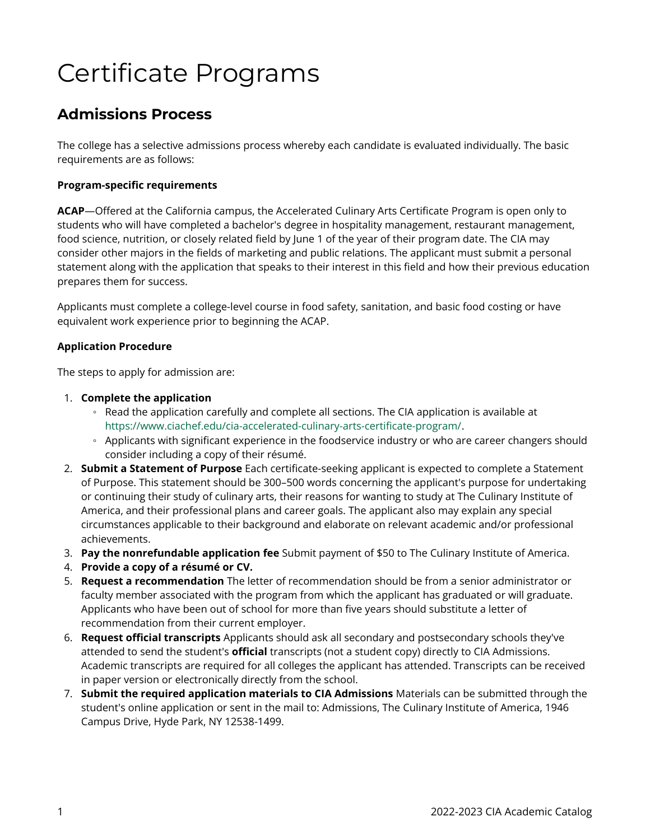# Certificate Programs

# **Admissions Process**

The college has a selective admissions process whereby each candidate is evaluated individually. The basic requirements are as follows:

## **Program-specific requirements**

**ACAP**—Offered at the California campus, the Accelerated Culinary Arts Certificate Program is open only to students who will have completed a bachelor's degree in hospitality management, restaurant management, food science, nutrition, or closely related field by June 1 of the year of their program date. The CIA may consider other majors in the fields of marketing and public relations. The applicant must submit a personal statement along with the application that speaks to their interest in this field and how their previous education prepares them for success.

Applicants must complete a college-level course in food safety, sanitation, and basic food costing or have equivalent work experience prior to beginning the ACAP.

### **Application Procedure**

The steps to apply for admission are:

### 1. **Complete the application**

- Read the application carefully and complete all sections. The CIA application is available at <https://www.ciachef.edu/cia-accelerated-culinary-arts-certificate-program/>.
- Applicants with significant experience in the foodservice industry or who are career changers should consider including a copy of their résumé.
- 2. **Submit a Statement of Purpose** Each certificate-seeking applicant is expected to complete a Statement of Purpose. This statement should be 300–500 words concerning the applicant's purpose for undertaking or continuing their study of culinary arts, their reasons for wanting to study at The Culinary Institute of America, and their professional plans and career goals. The applicant also may explain any special circumstances applicable to their background and elaborate on relevant academic and/or professional achievements.
- 3. **Pay the nonrefundable application fee** Submit payment of \$50 to The Culinary Institute of America.
- 4. **Provide a copy of a résumé or CV.**
- 5. **Request a recommendation** The letter of recommendation should be from a senior administrator or faculty member associated with the program from which the applicant has graduated or will graduate. Applicants who have been out of school for more than five years should substitute a letter of recommendation from their current employer.
- 6. **Request official transcripts** Applicants should ask all secondary and postsecondary schools they've attended to send the student's **official** transcripts (not a student copy) directly to CIA Admissions. Academic transcripts are required for all colleges the applicant has attended. Transcripts can be received in paper version or electronically directly from the school.
- 7. **Submit the required application materials to CIA Admissions** Materials can be submitted through the student's online application or sent in the mail to: Admissions, The Culinary Institute of America, 1946 Campus Drive, Hyde Park, NY 12538-1499.